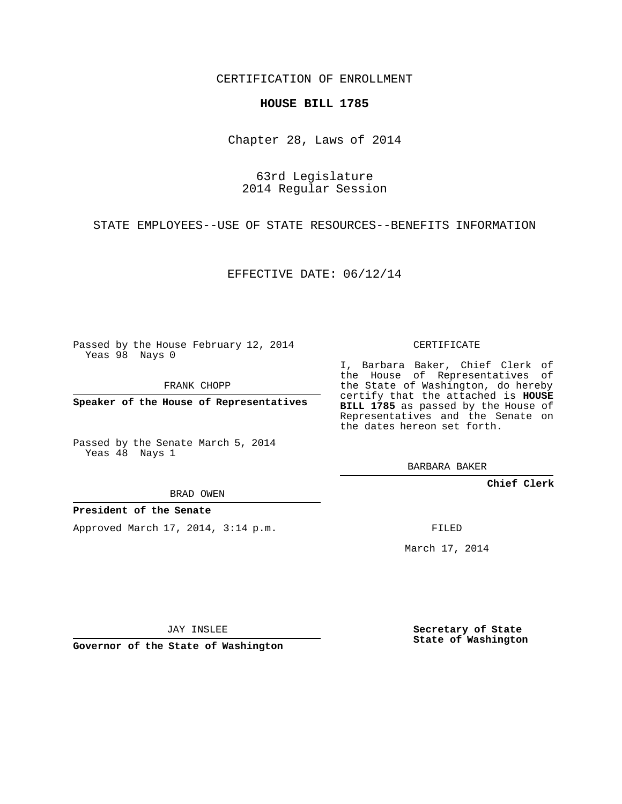CERTIFICATION OF ENROLLMENT

## **HOUSE BILL 1785**

Chapter 28, Laws of 2014

63rd Legislature 2014 Regular Session

STATE EMPLOYEES--USE OF STATE RESOURCES--BENEFITS INFORMATION

EFFECTIVE DATE: 06/12/14

Passed by the House February 12, 2014 Yeas 98 Nays 0

FRANK CHOPP

**Speaker of the House of Representatives**

Passed by the Senate March 5, 2014 Yeas 48 Nays 1

BRAD OWEN

## **President of the Senate**

Approved March 17, 2014, 3:14 p.m.

CERTIFICATE

I, Barbara Baker, Chief Clerk of the House of Representatives of the State of Washington, do hereby certify that the attached is **HOUSE BILL 1785** as passed by the House of Representatives and the Senate on the dates hereon set forth.

BARBARA BAKER

**Chief Clerk**

FILED

March 17, 2014

JAY INSLEE

**Governor of the State of Washington**

**Secretary of State State of Washington**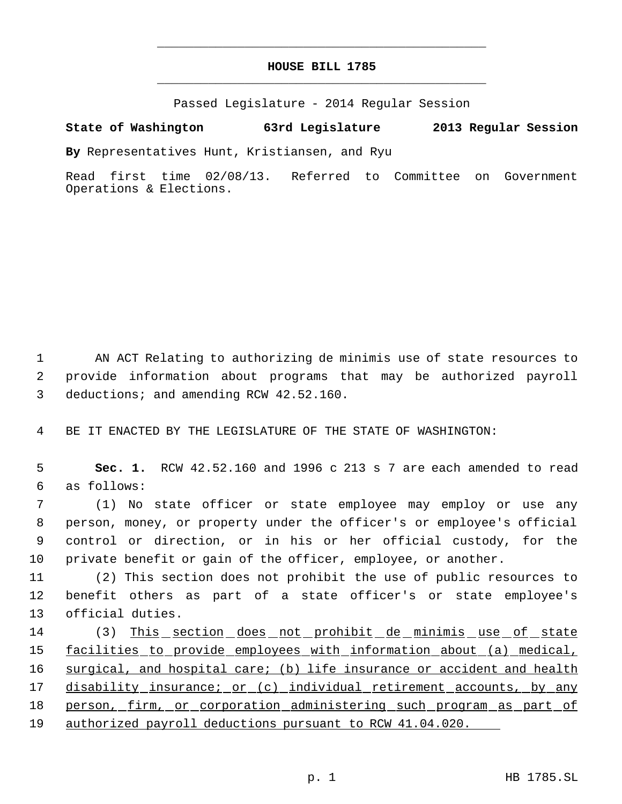## **HOUSE BILL 1785** \_\_\_\_\_\_\_\_\_\_\_\_\_\_\_\_\_\_\_\_\_\_\_\_\_\_\_\_\_\_\_\_\_\_\_\_\_\_\_\_\_\_\_\_\_

\_\_\_\_\_\_\_\_\_\_\_\_\_\_\_\_\_\_\_\_\_\_\_\_\_\_\_\_\_\_\_\_\_\_\_\_\_\_\_\_\_\_\_\_\_

Passed Legislature - 2014 Regular Session

## **State of Washington 63rd Legislature 2013 Regular Session**

**By** Representatives Hunt, Kristiansen, and Ryu

Read first time 02/08/13. Referred to Committee on Government Operations & Elections.

 1 AN ACT Relating to authorizing de minimis use of state resources to 2 provide information about programs that may be authorized payroll 3 deductions; and amending RCW 42.52.160.

4 BE IT ENACTED BY THE LEGISLATURE OF THE STATE OF WASHINGTON:

 5 **Sec. 1.** RCW 42.52.160 and 1996 c 213 s 7 are each amended to read 6 as follows:

 (1) No state officer or state employee may employ or use any person, money, or property under the officer's or employee's official control or direction, or in his or her official custody, for the private benefit or gain of the officer, employee, or another.

11 (2) This section does not prohibit the use of public resources to 12 benefit others as part of a state officer's or state employee's 13 official duties.

14 (3) This section does not prohibit de minimis use of state 15 facilities to provide employees with information about (a) medical, 16 surgical, and hospital care; (b) life insurance or accident and health 17 disability insurance; or (c) individual retirement accounts, by any 18 person, firm, or corporation administering such program as part of 19 authorized payroll deductions pursuant to RCW 41.04.020.